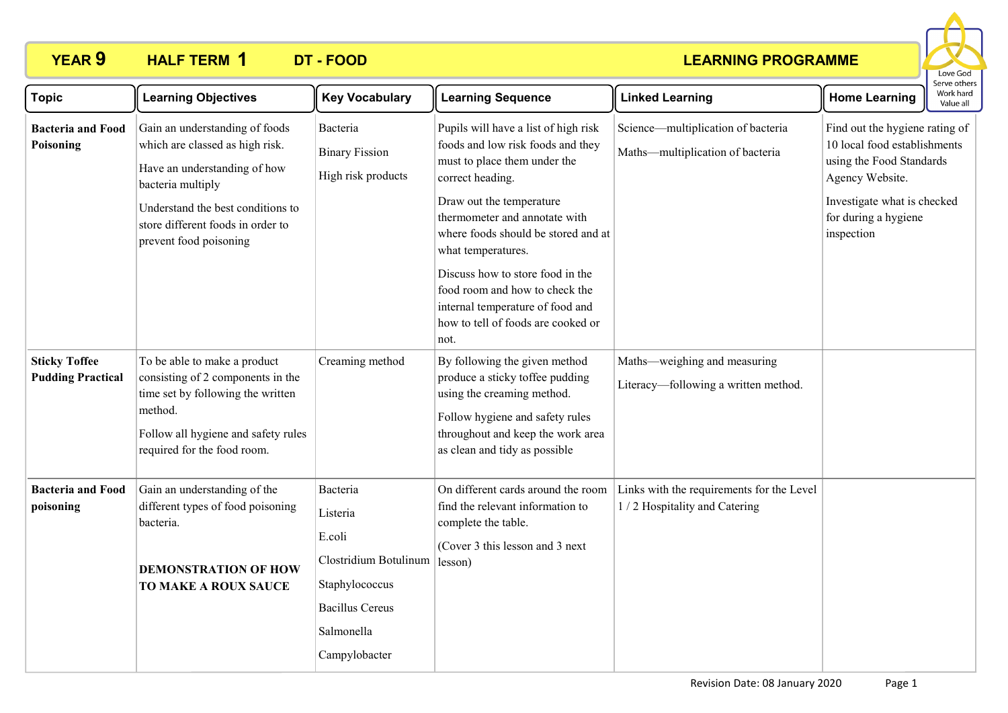# **YEAR 9 HALF TERM DT - FOOD 1**

## **LEARNING PROGRAMME**



| <b>Topic</b>                                     | <b>Learning Objectives</b>                                                                                                                                                                                                 | <b>Key Vocabulary</b>                                                                                                              | <b>Learning Sequence</b>                                                                                                                                                                                                                                                                                                                                                                                        | <b>Linked Learning</b>                                                    | <b>Home Learning</b>                                                                                                                                                               | Work hard<br>Value all |
|--------------------------------------------------|----------------------------------------------------------------------------------------------------------------------------------------------------------------------------------------------------------------------------|------------------------------------------------------------------------------------------------------------------------------------|-----------------------------------------------------------------------------------------------------------------------------------------------------------------------------------------------------------------------------------------------------------------------------------------------------------------------------------------------------------------------------------------------------------------|---------------------------------------------------------------------------|------------------------------------------------------------------------------------------------------------------------------------------------------------------------------------|------------------------|
| <b>Bacteria and Food</b><br>Poisoning            | Gain an understanding of foods<br>which are classed as high risk.<br>Have an understanding of how<br>bacteria multiply<br>Understand the best conditions to<br>store different foods in order to<br>prevent food poisoning | Bacteria<br><b>Binary Fission</b><br>High risk products                                                                            | Pupils will have a list of high risk<br>foods and low risk foods and they<br>must to place them under the<br>correct heading.<br>Draw out the temperature<br>thermometer and annotate with<br>where foods should be stored and at<br>what temperatures.<br>Discuss how to store food in the<br>food room and how to check the<br>internal temperature of food and<br>how to tell of foods are cooked or<br>not. | Science—multiplication of bacteria<br>Maths-multiplication of bacteria    | Find out the hygiene rating of<br>10 local food establishments<br>using the Food Standards<br>Agency Website.<br>Investigate what is checked<br>for during a hygiene<br>inspection |                        |
| <b>Sticky Toffee</b><br><b>Pudding Practical</b> | To be able to make a product<br>consisting of 2 components in the<br>time set by following the written<br>method.<br>Follow all hygiene and safety rules<br>required for the food room.                                    | Creaming method                                                                                                                    | By following the given method<br>produce a sticky toffee pudding<br>using the creaming method.<br>Follow hygiene and safety rules<br>throughout and keep the work area<br>as clean and tidy as possible                                                                                                                                                                                                         | Maths—weighing and measuring<br>Literacy-following a written method.      |                                                                                                                                                                                    |                        |
| <b>Bacteria and Food</b><br>poisoning            | Gain an understanding of the<br>different types of food poisoning<br>bacteria.<br><b>DEMONSTRATION OF HOW</b><br><b>TO MAKE A ROUX SAUCE</b>                                                                               | Bacteria<br>Listeria<br>E.coli<br>Clostridium Botulinum<br>Staphylococcus<br><b>Bacillus Cereus</b><br>Salmonella<br>Campylobacter | On different cards around the room<br>find the relevant information to<br>complete the table.<br>(Cover 3 this lesson and 3 next<br>lesson)                                                                                                                                                                                                                                                                     | Links with the requirements for the Level<br>1/2 Hospitality and Catering |                                                                                                                                                                                    |                        |